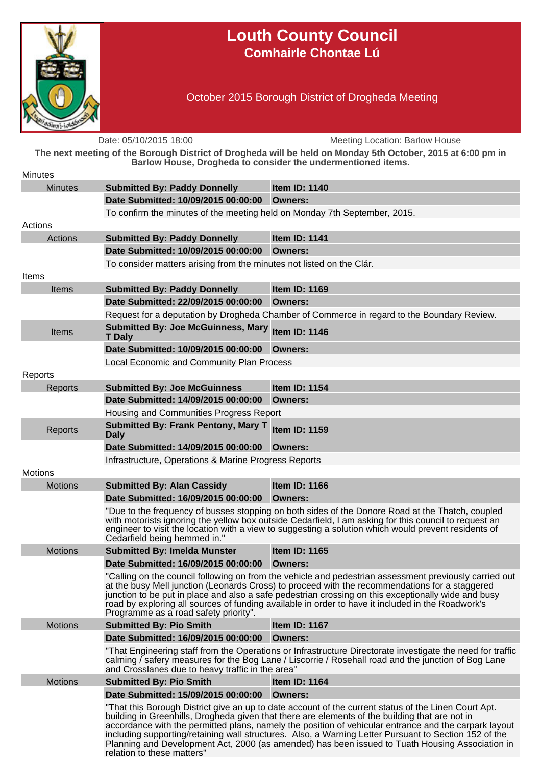

## **Louth County Council Comhairle Chontae Lú**

October 2015 Borough District of Drogheda Meeting

Date: 05/10/2015 18:00 Meeting Location: Barlow House **The next meeting of the Borough District of Drogheda will be held on Monday 5th October, 2015 at 6:00 pm in Barlow House, Drogheda to consider the undermentioned items. Minutes** Minutes **Submitted By: Paddy Donnelly Item ID: 1140 Date Submitted: 10/09/2015 00:00:00 Owners:** To confirm the minutes of the meeting held on Monday 7th September, 2015. Actions Actions **Submitted By: Paddy Donnelly Item ID: 1141 Date Submitted: 10/09/2015 00:00:00 Owners:** To consider matters arising from the minutes not listed on the Clár. Items Items **Submitted By: Paddy Donnelly Item ID: 1169 Date Submitted: 22/09/2015 00:00:00 Owners:** Request for a deputation by Drogheda Chamber of Commerce in regard to the Boundary Review. Items **Submitted By: Joe McGuinness, Mary T Daly Item ID: 1146 Date Submitted: 10/09/2015 00:00:00 Owners:** Local Economic and Community Plan Process Reports Reports **Submitted By: Joe McGuinness Item ID: 1154 Date Submitted: 14/09/2015 00:00:00 Owners:** Housing and Communities Progress Report Reports **Submitted By: Frank Pentony, Mary T Daly Item ID: 1159 Date Submitted: 14/09/2015 00:00:00 Owners:** Infrastructure, Operations & Marine Progress Reports Motions Motions **Submitted By: Alan Cassidy Item ID: 1166 Date Submitted: 16/09/2015 00:00:00 Owners:** "Due to the frequency of busses stopping on both sides of the Donore Road at the Thatch, coupled with motorists ignoring the yellow box outside Cedarfield, I am asking for this council to request an engineer to visit the location with a view to suggesting a solution which would prevent residents of Cedarfield being hemmed in." Motions **Submitted By: Imelda Munster Item ID: 1165 Date Submitted: 16/09/2015 00:00:00 Owners:** "Calling on the council following on from the vehicle and pedestrian assessment previously carried out at the busy Mell junction (Leonards Cross) to proceed with the recommendations for a staggered junction to be put in place and also a safe pedestrian crossing on this exceptionally wide and busy road by exploring all sources of funding available in order to have it included in the Roadwork's Programme as a road safety priority". Motions **Submitted By: Pio Smith Item ID: 1167 Date Submitted: 16/09/2015 00:00:00 Owners:** "That Engineering staff from the Operations or Infrastructure Directorate investigate the need for traffic calming / safery measures for the Bog Lane / Liscorrie / Rosehall road and the junction of Bog Lane and Crosslanes due to heavy traffic in the area" Motions **Submitted By: Pio Smith Item ID: 1164 Date Submitted: 15/09/2015 00:00:00 Owners:** "That this Borough District give an up to date account of the current status of the Linen Court Apt. building in Greenhills, Drogheda given that there are elements of the building that are not in accordance with the permitted plans, namely the position of vehicular entrance and the carpark layout including supporting/retaining wall structures. Also, a Warning Letter Pursuant to Section 152 of the Planning and Development Act, 2000 (as amended) has been issued to Tuath Housing Association in relation to these matters"